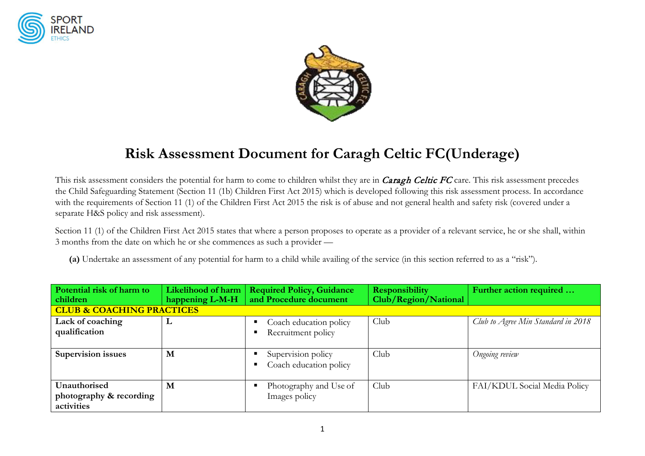



# **Risk Assessment Document for Caragh Celtic FC(Underage)**

This risk assessment considers the potential for harm to come to children whilst they are in *Caragh Celtic FC* care. This risk assessment precedes the Child Safeguarding Statement (Section 11 (1b) Children First Act 2015) which is developed following this risk assessment process. In accordance with the requirements of Section 11 (1) of the Children First Act 2015 the risk is of abuse and not general health and safety risk (covered under a separate H&S policy and risk assessment).

Section 11 (1) of the Children First Act 2015 states that where a person proposes to operate as a provider of a relevant service, he or she shall, within 3 months from the date on which he or she commences as such a provider —

**(a)** Undertake an assessment of any potential for harm to a child while availing of the service (in this section referred to as a "risk").

| Potential risk of harm to<br>children                 | Likelihood of harm<br>happening L-M-H | <b>Required Policy, Guidance</b><br>and Procedure document | <b>Responsibility</b><br>Club/Region/National | Further action required            |  |
|-------------------------------------------------------|---------------------------------------|------------------------------------------------------------|-----------------------------------------------|------------------------------------|--|
| <b>CLUB &amp; COACHING PRACTICES</b>                  |                                       |                                                            |                                               |                                    |  |
| Lack of coaching<br>qualification                     | L                                     | Coach education policy<br>Recruitment policy               | Club                                          | Club to Agree Min Standard in 2018 |  |
| <b>Supervision issues</b>                             | M                                     | Supervision policy<br>Coach education policy               | Club                                          | Ongoing review                     |  |
| Unauthorised<br>photography & recording<br>activities | M                                     | Photography and Use of<br>Images policy                    | Club                                          | FAI/KDUL Social Media Policy       |  |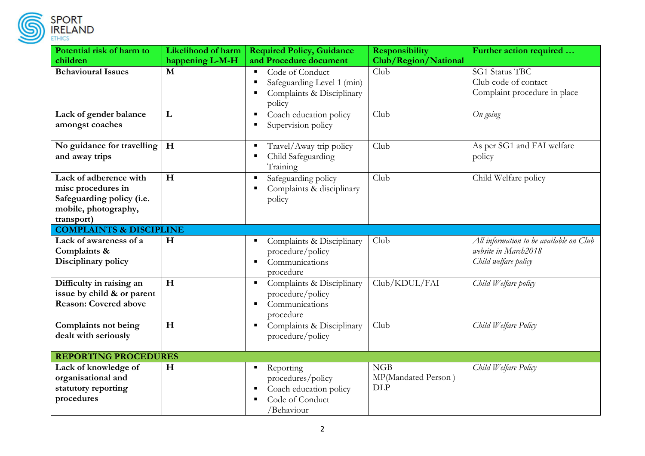

| PORT   |  |  |
|--------|--|--|
| ELAND. |  |  |

| Potential risk of harm to                                                                                       | Likelihood of harm | <b>Required Policy, Guidance</b>                                                          | <b>Responsibility</b>                    | Further action required                                                                 |
|-----------------------------------------------------------------------------------------------------------------|--------------------|-------------------------------------------------------------------------------------------|------------------------------------------|-----------------------------------------------------------------------------------------|
| children                                                                                                        | happening L-M-H    | and Procedure document                                                                    | Club/Region/National                     |                                                                                         |
| <b>Behavioural Issues</b>                                                                                       | M                  | Code of Conduct<br>Safeguarding Level 1 (min)<br>Complaints & Disciplinary<br>policy      | Club                                     | <b>SG1 Status TBC</b><br>Club code of contact<br>Complaint procedure in place           |
| Lack of gender balance<br>amongst coaches                                                                       | L                  | Coach education policy<br>Supervision policy                                              | Club                                     | On going                                                                                |
| No guidance for travelling<br>and away trips                                                                    | H                  | Travel/Away trip policy<br>Child Safeguarding<br>Training                                 | Club                                     | As per SG1 and FAI welfare<br>policy                                                    |
| Lack of adherence with<br>misc procedures in<br>Safeguarding policy (i.e.<br>mobile, photography,<br>transport) | H                  | Safeguarding policy<br>Complaints & disciplinary<br>policy                                | Club                                     | Child Welfare policy                                                                    |
| <b>COMPLAINTS &amp; DISCIPLINE</b>                                                                              |                    |                                                                                           |                                          |                                                                                         |
| Lack of awareness of a<br>Complaints &<br>Disciplinary policy                                                   | H                  | Complaints & Disciplinary<br>procedure/policy<br>Communications<br>٠<br>procedure         | Club                                     | All information to be available on Club<br>website in March2018<br>Child welfare policy |
| Difficulty in raising an<br>issue by child & or parent<br><b>Reason: Covered above</b>                          | H                  | Complaints & Disciplinary<br>procedure/policy<br>Communications<br>procedure              | Club/KDUL/FAI                            | Child Welfare policy                                                                    |
| Complaints not being<br>dealt with seriously                                                                    | H                  | Complaints & Disciplinary<br>п.<br>procedure/policy                                       | Club                                     | Child Welfare Policy                                                                    |
| <b>REPORTING PROCEDURES</b>                                                                                     |                    |                                                                                           |                                          |                                                                                         |
| Lack of knowledge of<br>organisational and<br>statutory reporting<br>procedures                                 | H                  | Reporting<br>procedures/policy<br>Coach education policy<br>Code of Conduct<br>/Behaviour | NGB<br>MP(Mandated Person)<br><b>DLP</b> | Child Welfare Policy                                                                    |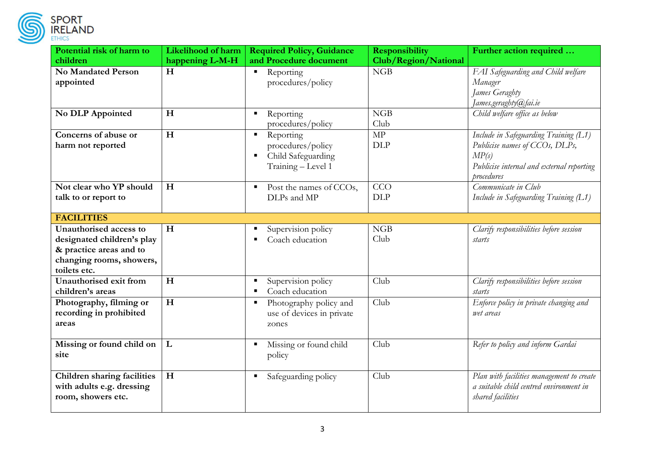

| Potential risk of harm to                                                                                                   | <b>Likelihood of harm</b> | <b>Required Policy, Guidance</b>                                                                  | <b>Responsibility</b>                    | Further action required                                                                                                                     |
|-----------------------------------------------------------------------------------------------------------------------------|---------------------------|---------------------------------------------------------------------------------------------------|------------------------------------------|---------------------------------------------------------------------------------------------------------------------------------------------|
| children                                                                                                                    | happening L-M-H           | and Procedure document                                                                            | Club/Region/National                     |                                                                                                                                             |
| <b>No Mandated Person</b><br>appointed                                                                                      | H                         | Reporting<br>$\blacksquare$<br>procedures/policy                                                  | NGB                                      | FAI Safeguarding and Child welfare<br>Manager<br>James Geraghty<br>James.geraghty@fai.ie                                                    |
| No DLP Appointed                                                                                                            | H                         | Reporting<br>procedures/policy                                                                    | NGB<br>Club                              | Child welfare office as below                                                                                                               |
| Concerns of abuse or<br>harm not reported                                                                                   | H                         | Reporting<br>ш<br>procedures/policy<br>Child Safeguarding<br>$\blacksquare$<br>Training - Level 1 | $\ensuremath{\mathrm{MP}}$<br><b>DLP</b> | Include in Safeguarding Training (L1)<br>Publicise names of CCOs, DLPs,<br>MP(s)<br>Publicise internal and external reporting<br>procedures |
| Not clear who YP should<br>talk to or report to                                                                             | H                         | Post the names of CCOs,<br>$\blacksquare$<br>DLPs and MP                                          | CCO<br><b>DLP</b>                        | Communicate in Club<br>Include in Safeguarding Training (L1)                                                                                |
| <b>FACILITIES</b>                                                                                                           |                           |                                                                                                   |                                          |                                                                                                                                             |
| Unauthorised access to<br>designated children's play<br>& practice areas and to<br>changing rooms, showers,<br>toilets etc. | H                         | Supervision policy<br>Coach education                                                             | NGB<br>Club                              | Clarify responsibilities before session<br>starts                                                                                           |
| Unauthorised exit from<br>children's areas                                                                                  | H                         | Supervision policy<br>Coach education                                                             | Club                                     | Clarify responsibilities before session<br>starts                                                                                           |
| Photography, filming or<br>recording in prohibited<br>areas                                                                 | H                         | Photography policy and<br>п<br>use of devices in private<br>zones                                 | Club                                     | Enforce policy in private changing and<br>wet areas                                                                                         |
| Missing or found child on<br>site                                                                                           | L                         | Missing or found child<br>policy                                                                  | Club                                     | Refer to policy and inform Gardai                                                                                                           |
| <b>Children sharing facilities</b><br>with adults e.g. dressing<br>room, showers etc.                                       | H                         | Safeguarding policy<br>٠                                                                          | Club                                     | Plan with facilities management to create<br>a suitable child centred environment in<br>shared facilities                                   |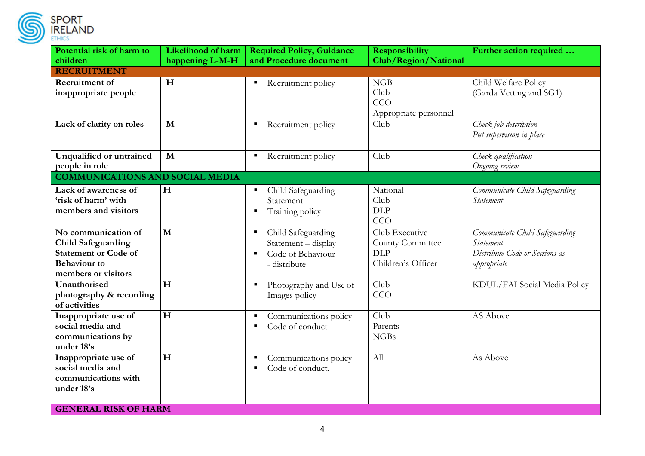

| Potential risk of harm to              | <b>Likelihood of harm</b> | <b>Required Policy, Guidance</b> | <b>Responsibility</b> | Further action required        |
|----------------------------------------|---------------------------|----------------------------------|-----------------------|--------------------------------|
| children                               | happening L-M-H           | and Procedure document           | Club/Region/National  |                                |
| <b>RECRUITMENT</b>                     |                           |                                  |                       |                                |
| Recruitment of                         | H                         | Recruitment policy               | NGB                   | Child Welfare Policy           |
| inappropriate people                   |                           |                                  | Club                  | (Garda Vetting and SG1)        |
|                                        |                           |                                  | CCO                   |                                |
|                                        |                           |                                  | Appropriate personnel |                                |
| Lack of clarity on roles               | M                         | Recruitment policy               | Club                  | Check job description          |
|                                        |                           |                                  |                       | Put supervision in place       |
|                                        |                           |                                  |                       |                                |
| Unqualified or untrained               | M                         | Recruitment policy               | Club                  | Check qualification            |
| people in role                         |                           |                                  |                       | Ongoing review                 |
| <b>COMMUNICATIONS AND SOCIAL MEDIA</b> |                           |                                  |                       |                                |
| Lack of awareness of                   | H                         | Child Safeguarding               | National              | Communicate Child Safeguarding |
| 'risk of harm' with                    |                           | Statement                        | Club                  | Statement                      |
| members and visitors                   |                           | Training policy                  | <b>DLP</b>            |                                |
|                                        |                           |                                  | CCO                   |                                |
| No communication of                    | $\mathbf{M}$              | Child Safeguarding               | Club Executive        | Communicate Child Safeguarding |
| <b>Child Safeguarding</b>              |                           | Statement - display              | County Committee      | Statement                      |
| <b>Statement or Code of</b>            |                           | Code of Behaviour<br>٠           | <b>DLP</b>            | Distribute Code or Sections as |
| <b>Behaviour</b> to                    |                           | - distribute                     | Children's Officer    | appropriate                    |
| members or visitors                    |                           |                                  |                       |                                |
| Unauthorised                           | H                         | Photography and Use of           | Club                  | KDUL/FAI Social Media Policy   |
| photography & recording                |                           | Images policy                    | CCO                   |                                |
| of activities                          |                           |                                  |                       |                                |
| Inappropriate use of                   | H                         | Communications policy            | Club                  | AS Above                       |
| social media and                       |                           | Code of conduct                  | Parents               |                                |
| communications by                      |                           |                                  | <b>NGBs</b>           |                                |
| under 18's                             |                           |                                  |                       |                                |
| Inappropriate use of                   | H                         | Communications policy            | All                   | As Above                       |
| social media and                       |                           | Code of conduct.                 |                       |                                |
| communications with                    |                           |                                  |                       |                                |
| under 18's                             |                           |                                  |                       |                                |
|                                        |                           |                                  |                       |                                |
| <b>GENERAL RISK OF HARM</b>            |                           |                                  |                       |                                |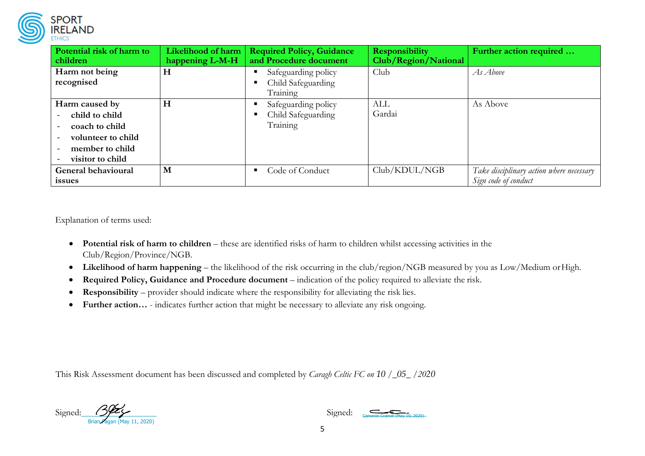

| Potential risk of harm to<br>children                                                                           | Likelihood of harm<br>happening L-M-H | <b>Required Policy, Guidance</b><br>and Procedure document | <b>Responsibility</b><br>Club/Region/National | Further action required                                          |
|-----------------------------------------------------------------------------------------------------------------|---------------------------------------|------------------------------------------------------------|-----------------------------------------------|------------------------------------------------------------------|
| Harm not being<br>recognised                                                                                    | H                                     | Safeguarding policy<br>Child Safeguarding<br>Training      | Club                                          | As Above                                                         |
| Harm caused by<br>child to child<br>coach to child<br>volunteer to child<br>member to child<br>visitor to child | H                                     | Safeguarding policy<br>Child Safeguarding<br>Training      | ALL<br>Gardai                                 | As Above                                                         |
| General behavioural<br>issues                                                                                   | M                                     | Code of Conduct                                            | Club/KDUL/NGB                                 | Take disciplinary action where necessary<br>Sign code of conduct |

Explanation of terms used:

- **Potential risk of harm to children** these are identified risks of harm to children whilst accessing activities in the Club/Region/Province/NGB.
- **Likelihood of harm happening**  the likelihood of the risk occurring in the club/region/NGB measured by you as Low/Medium orHigh.
- **Required Policy, Guidance and Procedure document**  indication of the policy required to alleviate the risk.
- **Responsibility** provider should indicate where the responsibility for alleviating the risk lies.
- **Further action…**  indicates further action that might be necessary to alleviate any risk ongoing.

This Risk Assessment document has been discussed and completed by *Caragh Celtic FC on 10 /\_05\_ /2020*